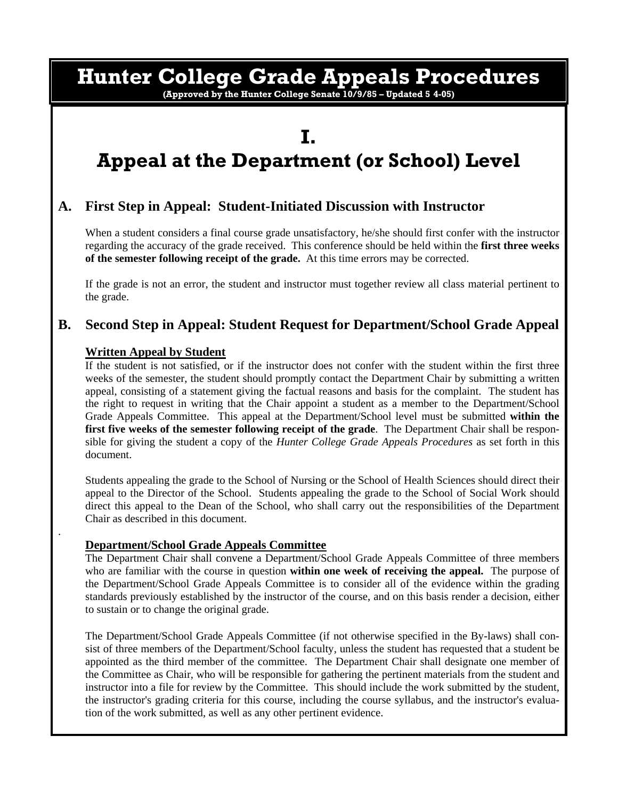# **Hunter College Grade Appeals Procedures**

**(Approved by the Hunter College Senate 10/9/85 – Updated 5 4-05)** 

## **I. Appeal at the Department (or School) Level**

#### **A. First Step in Appeal: Student-Initiated Discussion with Instructor**

When a student considers a final course grade unsatisfactory, he/she should first confer with the instructor regarding the accuracy of the grade received. This conference should be held within the **first three weeks of the semester following receipt of the grade.** At this time errors may be corrected.

 If the grade is not an error, the student and instructor must together review all class material pertinent to the grade.

#### **B. Second Step in Appeal: Student Request for Department/School Grade Appeal**

### **Written Appeal by Student**

.

If the student is not satisfied, or if the instructor does not confer with the student within the first three weeks of the semester, the student should promptly contact the Department Chair by submitting a written appeal, consisting of a statement giving the factual reasons and basis for the complaint. The student has the right to request in writing that the Chair appoint a student as a member to the Department/School Grade Appeals Committee. This appeal at the Department/School level must be submitted **within the first five weeks of the semester following receipt of the grade**. The Department Chair shall be responsible for giving the student a copy of the *Hunter College Grade Appeals Procedures* as set forth in this document.

Students appealing the grade to the School of Nursing or the School of Health Sciences should direct their appeal to the Director of the School. Students appealing the grade to the School of Social Work should direct this appeal to the Dean of the School, who shall carry out the responsibilities of the Department Chair as described in this document.

### **Department/School Grade Appeals Committee**

The Department Chair shall convene a Department/School Grade Appeals Committee of three members who are familiar with the course in question **within one week of receiving the appeal.** The purpose of the Department/School Grade Appeals Committee is to consider all of the evidence within the grading standards previously established by the instructor of the course, and on this basis render a decision, either to sustain or to change the original grade.

The Department/School Grade Appeals Committee (if not otherwise specified in the By-laws) shall consist of three members of the Department/School faculty, unless the student has requested that a student be appointed as the third member of the committee. The Department Chair shall designate one member of the Committee as Chair, who will be responsible for gathering the pertinent materials from the student and instructor into a file for review by the Committee. This should include the work submitted by the student, the instructor's grading criteria for this course, including the course syllabus, and the instructor's evaluation of the work submitted, as well as any other pertinent evidence.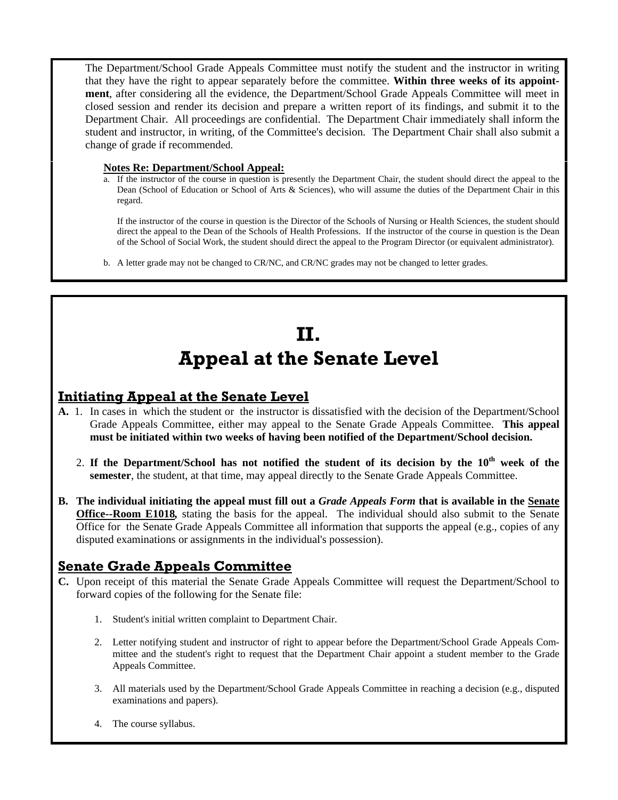The Department/School Grade Appeals Committee must notify the student and the instructor in writing that they have the right to appear separately before the committee. **Within three weeks of its appointment**, after considering all the evidence, the Department/School Grade Appeals Committee will meet in closed session and render its decision and prepare a written report of its findings, and submit it to the Department Chair. All proceedings are confidential. The Department Chair immediately shall inform the student and instructor, in writing, of the Committee's decision. The Department Chair shall also submit a change of grade if recommended.

### **Notes Re: Department/School Appeal:**

a. If the instructor of the course in question is presently the Department Chair, the student should direct the appeal to the Dean (School of Education or School of Arts & Sciences), who will assume the duties of the Department Chair in this regard.

If the instructor of the course in question is the Director of the Schools of Nursing or Health Sciences, the student should direct the appeal to the Dean of the Schools of Health Professions. If the instructor of the course in question is the Dean of the School of Social Work, the student should direct the appeal to the Program Director (or equivalent administrator).

b. A letter grade may not be changed to CR/NC, and CR/NC grades may not be changed to letter grades.

# **II. Appeal at the Senate Level**

### **Initiating Appeal at the Senate Level**

- **A.** 1. In cases in which the student or the instructor is dissatisfied with the decision of the Department/School Grade Appeals Committee, either may appeal to the Senate Grade Appeals Committee. **This appeal must be initiated within two weeks of having been notified of the Department/School decision.** 
	- 2. **If the Department/School has not notified the student of its decision by the 10th week of the semester**, the student, at that time, may appeal directly to the Senate Grade Appeals Committee.
- **B. The individual initiating the appeal must fill out a** *Grade Appeals Form* **that is available in the Senate Office--Room E1018***,* stating the basis for the appeal. The individual should also submit to the Senate Office for the Senate Grade Appeals Committee all information that supports the appeal (e.g., copies of any disputed examinations or assignments in the individual's possession).

### **Senate Grade Appeals Committee**

- **C.** Upon receipt of this material the Senate Grade Appeals Committee will request the Department/School to forward copies of the following for the Senate file:
	- 1. Student's initial written complaint to Department Chair.
	- 2. Letter notifying student and instructor of right to appear before the Department/School Grade Appeals Committee and the student's right to request that the Department Chair appoint a student member to the Grade Appeals Committee.
	- 3. All materials used by the Department/School Grade Appeals Committee in reaching a decision (e.g., disputed examinations and papers).
	- 4. The course syllabus.